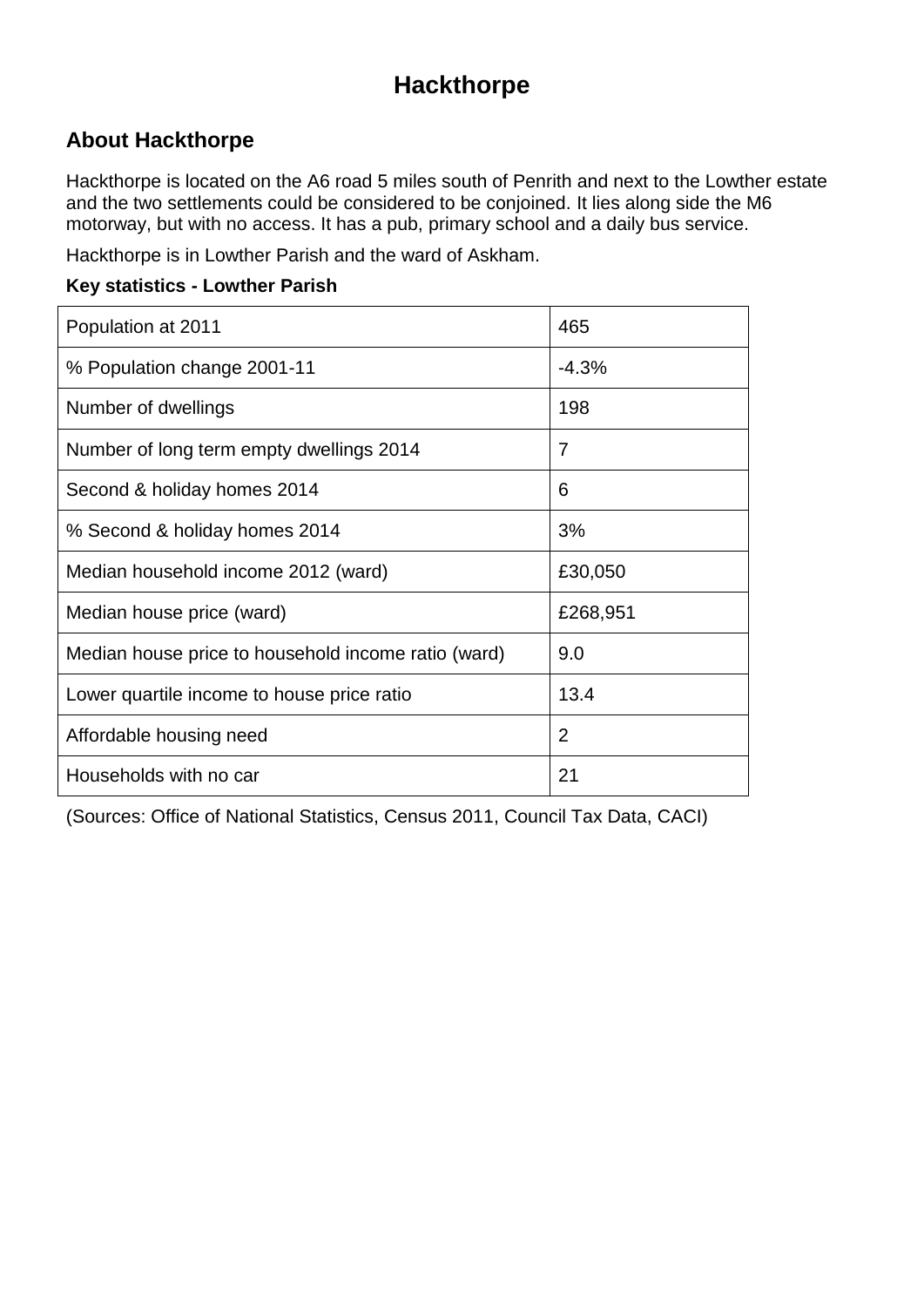# **Hackthorpe**

## **About Hackthorpe**

Hackthorpe is located on the A6 road 5 miles south of Penrith and next to the Lowther estate and the two settlements could be considered to be conjoined. It lies along side the M6 motorway, but with no access. It has a pub, primary school and a daily bus service.

Hackthorpe is in Lowther Parish and the ward of Askham.

#### **Key statistics - Lowther Parish**

| Population at 2011                                  | 465            |
|-----------------------------------------------------|----------------|
| % Population change 2001-11                         | $-4.3%$        |
| Number of dwellings                                 | 198            |
| Number of long term empty dwellings 2014            | 7              |
| Second & holiday homes 2014                         | 6              |
| % Second & holiday homes 2014                       | 3%             |
| Median household income 2012 (ward)                 | £30,050        |
| Median house price (ward)                           | £268,951       |
| Median house price to household income ratio (ward) | 9.0            |
| Lower quartile income to house price ratio          | 13.4           |
| Affordable housing need                             | $\overline{2}$ |
| Households with no car                              | 21             |

(Sources: Office of National Statistics, Census 2011, Council Tax Data, CACI)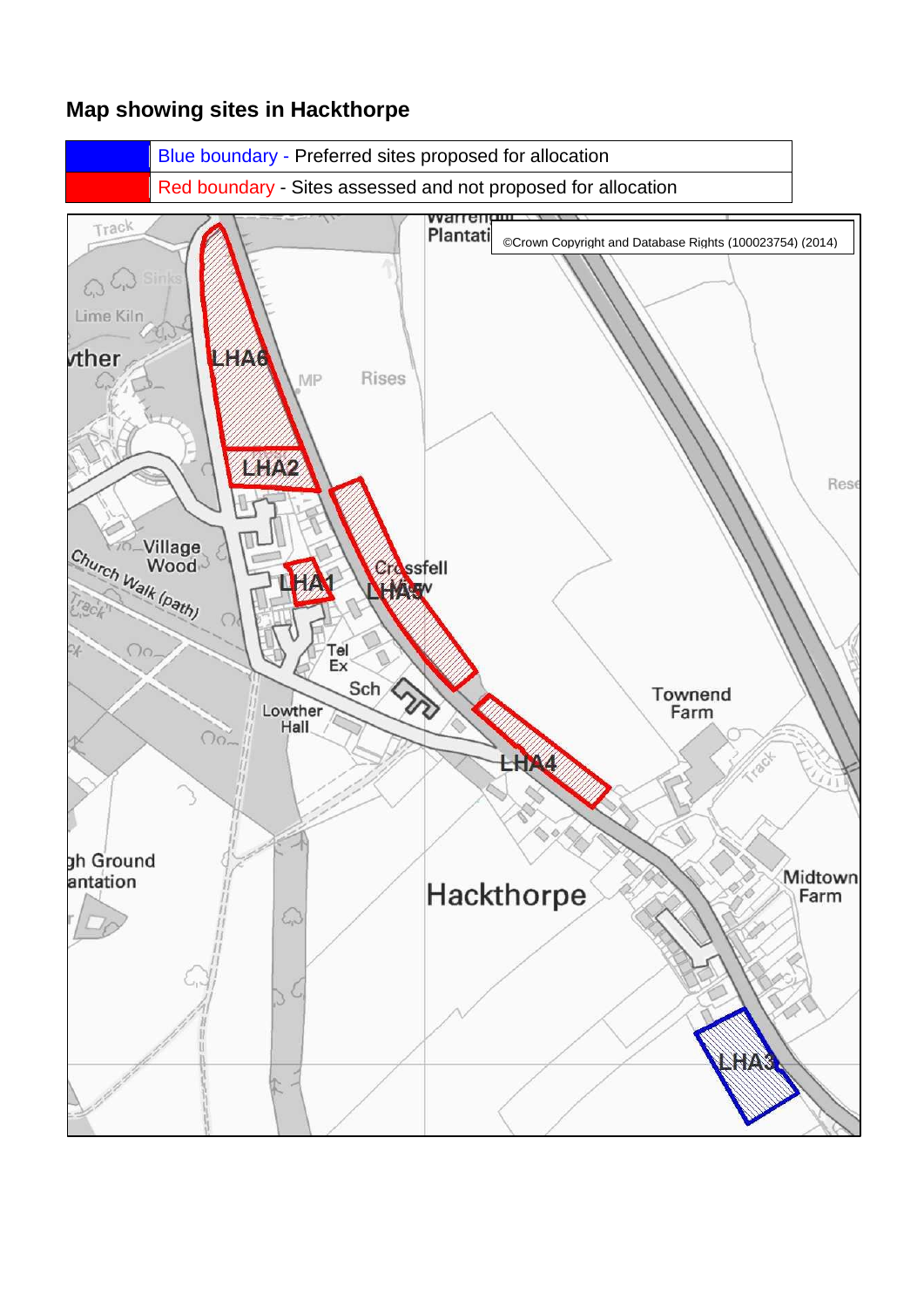

### **Map showing sites in Hackthorpe**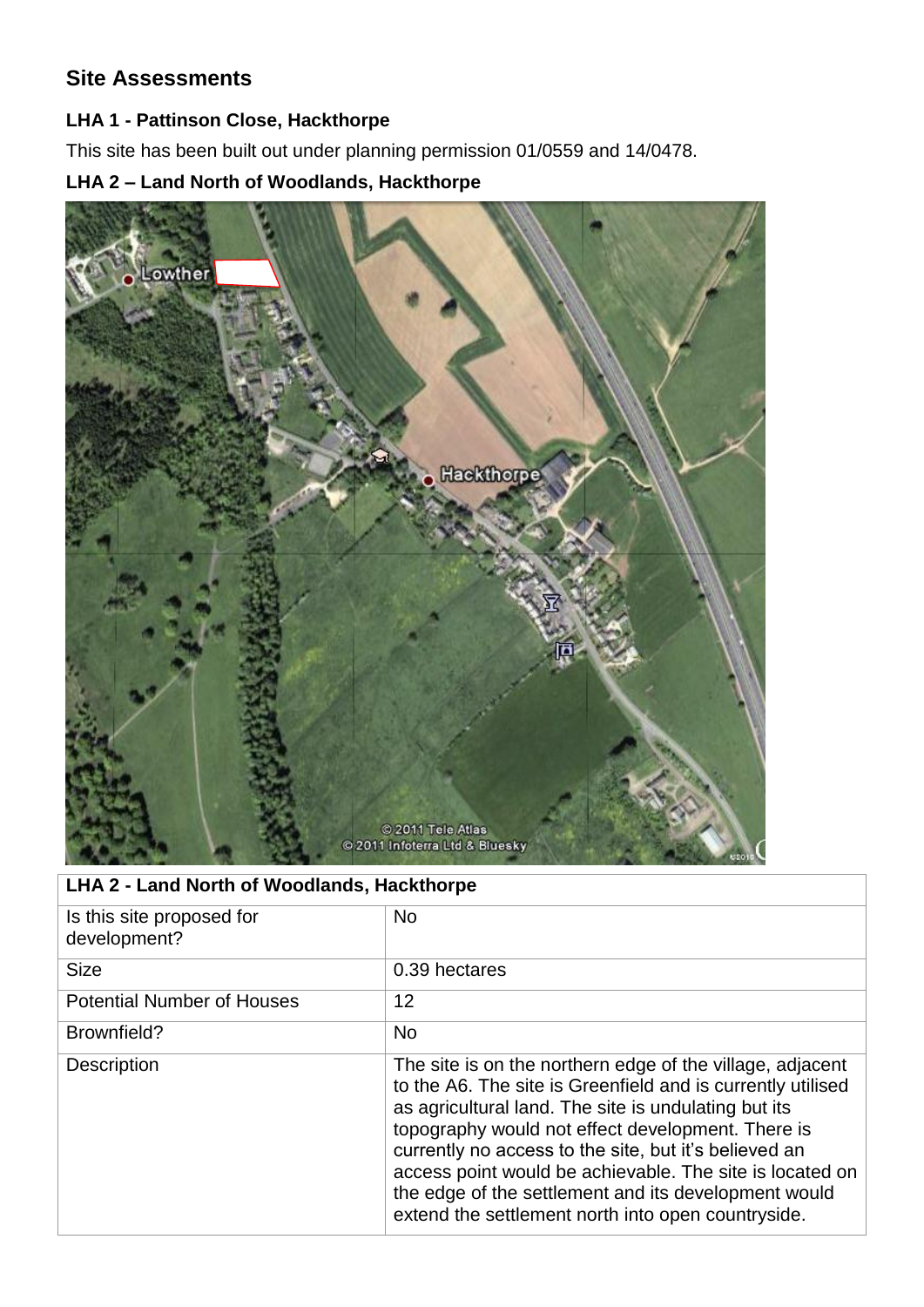## **Site Assessments**

#### **LHA 1 - Pattinson Close, Hackthorpe**

This site has been built out under planning permission 01/0559 and 14/0478.

### **LHA 2 – Land North of Woodlands, Hackthorpe**



### **LHA 2 - Land North of Woodlands, Hackthorpe**

| Is this site proposed for<br>development? | <b>No</b>                                                                                                                                                                                                                                                                                                                                                                                                                                                                |
|-------------------------------------------|--------------------------------------------------------------------------------------------------------------------------------------------------------------------------------------------------------------------------------------------------------------------------------------------------------------------------------------------------------------------------------------------------------------------------------------------------------------------------|
| <b>Size</b>                               | 0.39 hectares                                                                                                                                                                                                                                                                                                                                                                                                                                                            |
| <b>Potential Number of Houses</b>         | 12                                                                                                                                                                                                                                                                                                                                                                                                                                                                       |
| Brownfield?                               | <b>No</b>                                                                                                                                                                                                                                                                                                                                                                                                                                                                |
| <b>Description</b>                        | The site is on the northern edge of the village, adjacent<br>to the A6. The site is Greenfield and is currently utilised<br>as agricultural land. The site is undulating but its<br>topography would not effect development. There is<br>currently no access to the site, but it's believed an<br>access point would be achievable. The site is located on<br>the edge of the settlement and its development would<br>extend the settlement north into open countryside. |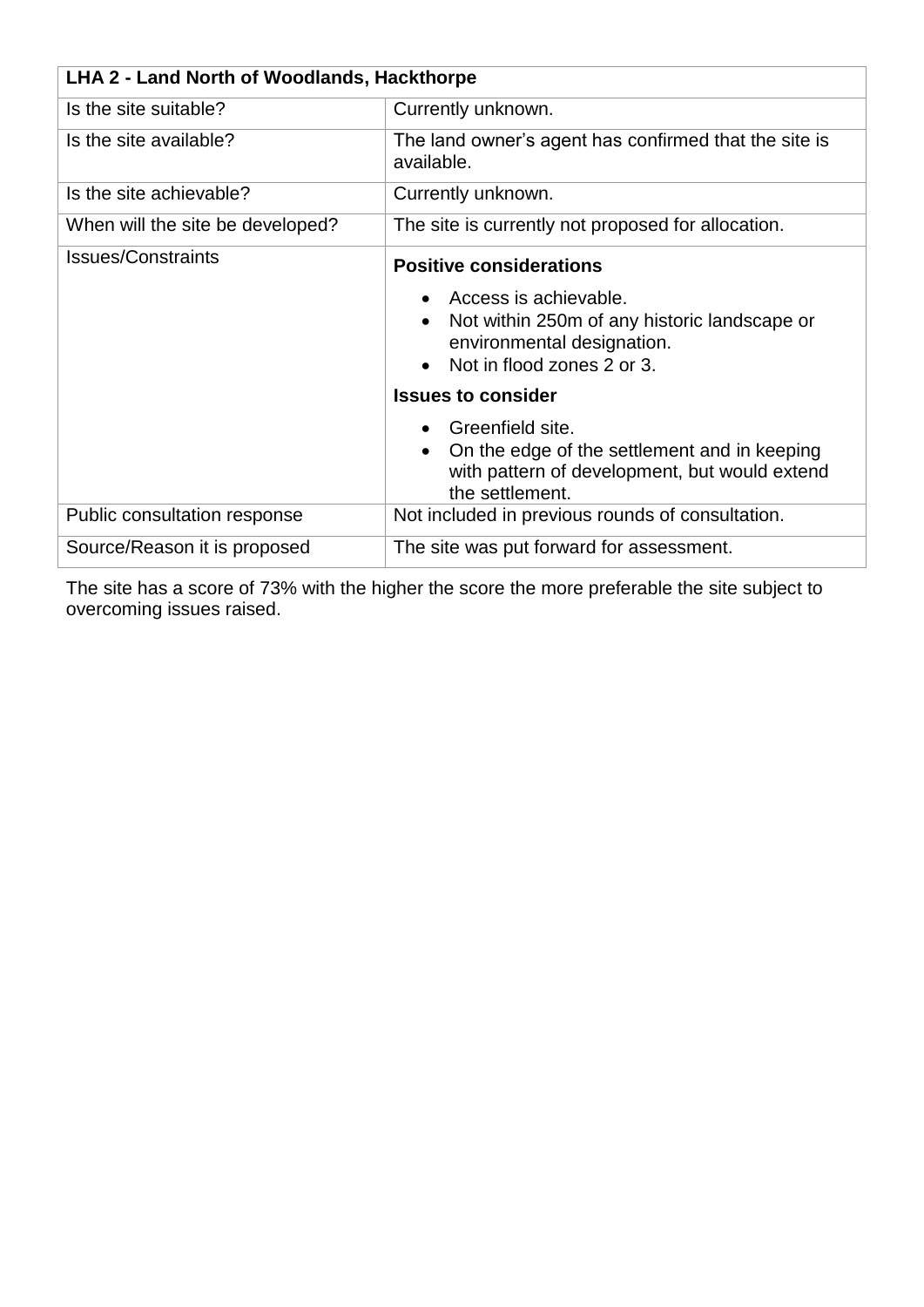| LHA 2 - Land North of Woodlands, Hackthorpe |                                                                                                                                                                                                       |  |
|---------------------------------------------|-------------------------------------------------------------------------------------------------------------------------------------------------------------------------------------------------------|--|
| Is the site suitable?                       | Currently unknown.                                                                                                                                                                                    |  |
| Is the site available?                      | The land owner's agent has confirmed that the site is<br>available.                                                                                                                                   |  |
| Is the site achievable?                     | Currently unknown.                                                                                                                                                                                    |  |
| When will the site be developed?            | The site is currently not proposed for allocation.                                                                                                                                                    |  |
| <b>Issues/Constraints</b>                   | <b>Positive considerations</b><br>Access is achievable.<br>Not within 250m of any historic landscape or<br>environmental designation.<br>Not in flood zones 2 or 3.<br><b>Issues to consider</b>      |  |
| Public consultation response                | Greenfield site.<br>On the edge of the settlement and in keeping<br>$\bullet$<br>with pattern of development, but would extend<br>the settlement.<br>Not included in previous rounds of consultation. |  |
| Source/Reason it is proposed                | The site was put forward for assessment.                                                                                                                                                              |  |

The site has a score of 73% with the higher the score the more preferable the site subject to overcoming issues raised.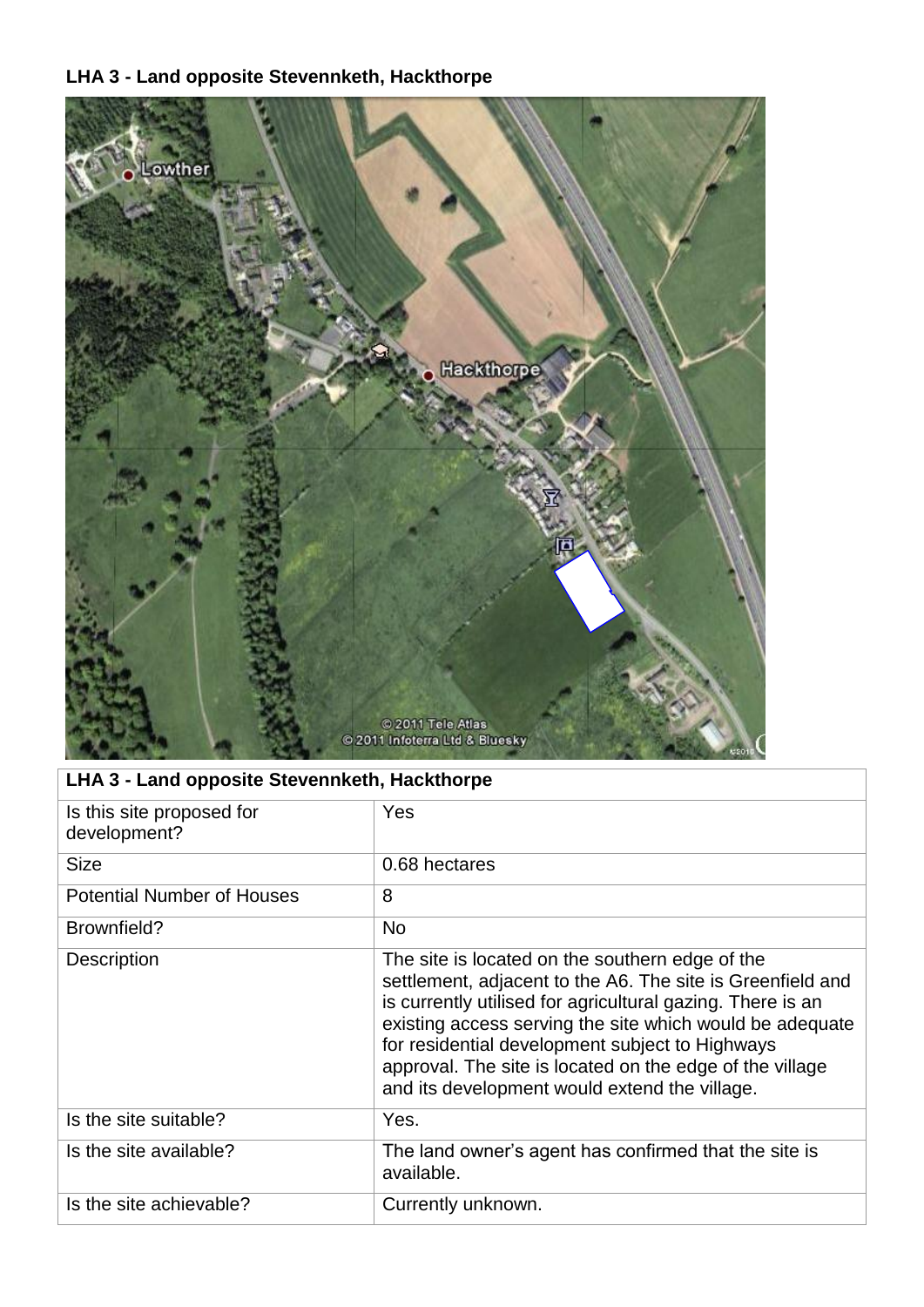### **LHA 3 - Land opposite Stevennketh, Hackthorpe**



# **LHA 3 - Land opposite Stevennketh, Hackthorpe**

| Is this site proposed for<br>development? | Yes                                                                                                                                                                                                                                                                                                                                                                                                     |
|-------------------------------------------|---------------------------------------------------------------------------------------------------------------------------------------------------------------------------------------------------------------------------------------------------------------------------------------------------------------------------------------------------------------------------------------------------------|
| <b>Size</b>                               | 0.68 hectares                                                                                                                                                                                                                                                                                                                                                                                           |
| <b>Potential Number of Houses</b>         | 8                                                                                                                                                                                                                                                                                                                                                                                                       |
| Brownfield?                               | <b>No</b>                                                                                                                                                                                                                                                                                                                                                                                               |
| Description                               | The site is located on the southern edge of the<br>settlement, adjacent to the A6. The site is Greenfield and<br>is currently utilised for agricultural gazing. There is an<br>existing access serving the site which would be adequate<br>for residential development subject to Highways<br>approval. The site is located on the edge of the village<br>and its development would extend the village. |
| Is the site suitable?                     | Yes.                                                                                                                                                                                                                                                                                                                                                                                                    |
| Is the site available?                    | The land owner's agent has confirmed that the site is<br>available.                                                                                                                                                                                                                                                                                                                                     |
| Is the site achievable?                   | Currently unknown.                                                                                                                                                                                                                                                                                                                                                                                      |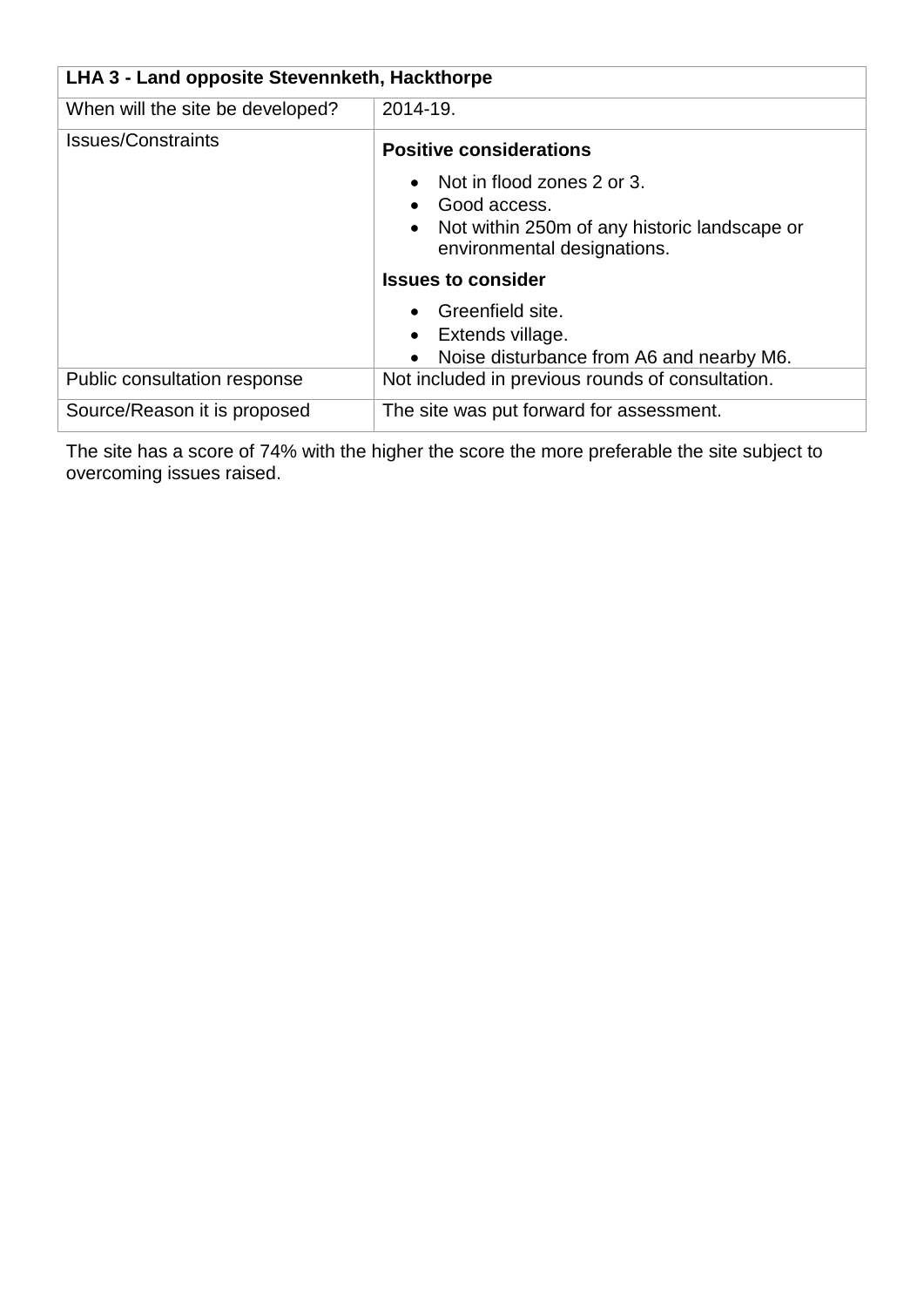| LHA 3 - Land opposite Stevennketh, Hackthorpe |                                                                             |  |
|-----------------------------------------------|-----------------------------------------------------------------------------|--|
| When will the site be developed?              | 2014-19.                                                                    |  |
| <b>Issues/Constraints</b>                     | <b>Positive considerations</b><br>Not in flood zones 2 or 3.                |  |
|                                               | Good access.                                                                |  |
|                                               | Not within 250m of any historic landscape or<br>environmental designations. |  |
|                                               | <b>Issues to consider</b>                                                   |  |
|                                               | • Greenfield site.                                                          |  |
|                                               | Extends village.                                                            |  |
|                                               | Noise disturbance from A6 and nearby M6.                                    |  |
| Public consultation response                  | Not included in previous rounds of consultation.                            |  |
| Source/Reason it is proposed                  | The site was put forward for assessment.                                    |  |

The site has a score of 74% with the higher the score the more preferable the site subject to overcoming issues raised.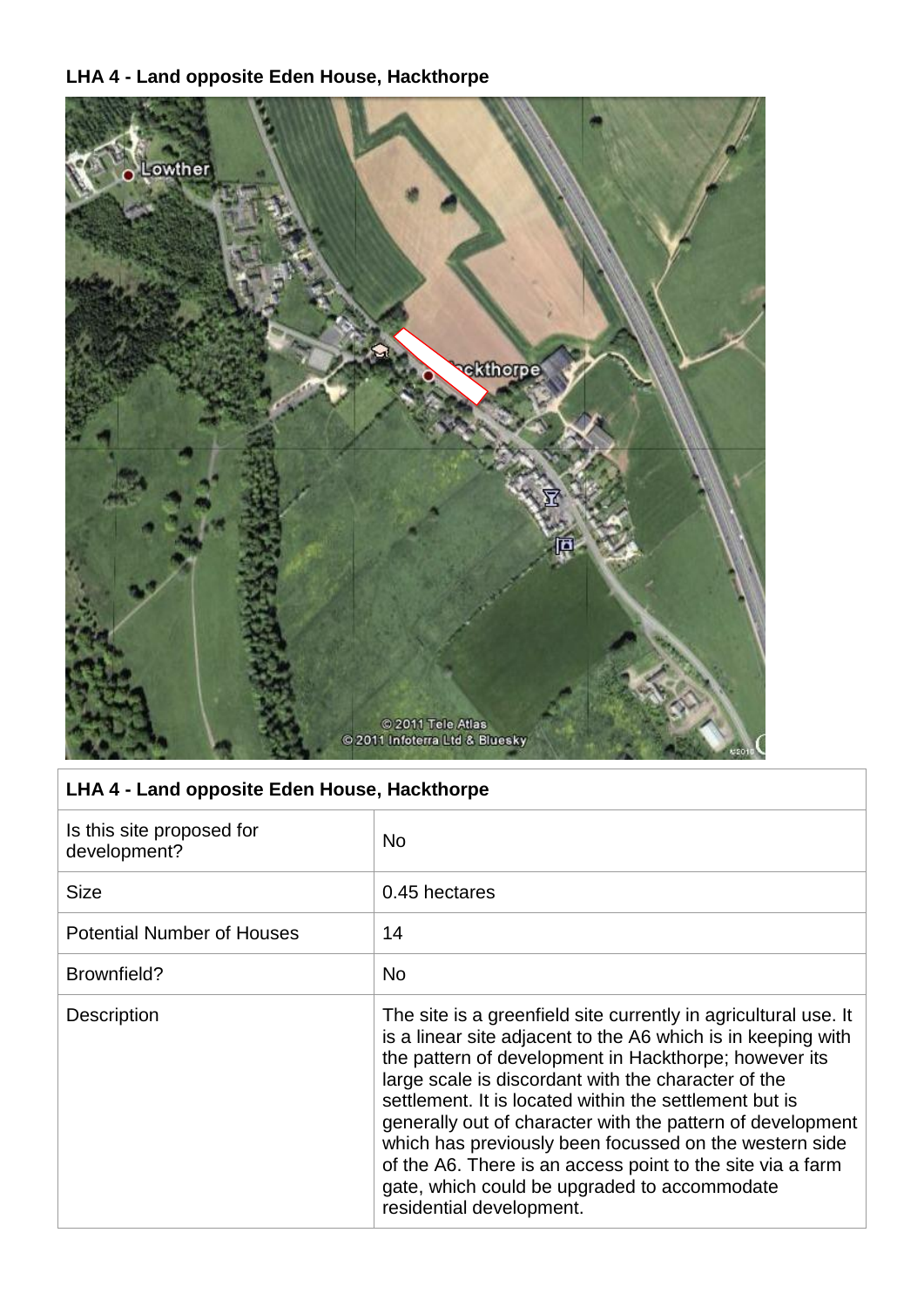## **LHA 4 - Land opposite Eden House, Hackthorpe**



|  |  | LHA 4 - Land opposite Eden House, Hackthorpe |  |
|--|--|----------------------------------------------|--|
|  |  |                                              |  |

| Is this site proposed for<br>development? | <b>No</b>                                                                                                                                                                                                                                                                                                                                                                                                                                                                                                                                                                   |
|-------------------------------------------|-----------------------------------------------------------------------------------------------------------------------------------------------------------------------------------------------------------------------------------------------------------------------------------------------------------------------------------------------------------------------------------------------------------------------------------------------------------------------------------------------------------------------------------------------------------------------------|
| <b>Size</b>                               | 0.45 hectares                                                                                                                                                                                                                                                                                                                                                                                                                                                                                                                                                               |
| <b>Potential Number of Houses</b>         | 14                                                                                                                                                                                                                                                                                                                                                                                                                                                                                                                                                                          |
| Brownfield?                               | <b>No</b>                                                                                                                                                                                                                                                                                                                                                                                                                                                                                                                                                                   |
| Description                               | The site is a greenfield site currently in agricultural use. It<br>is a linear site adjacent to the A6 which is in keeping with<br>the pattern of development in Hackthorpe; however its<br>large scale is discordant with the character of the<br>settlement. It is located within the settlement but is<br>generally out of character with the pattern of development<br>which has previously been focussed on the western side<br>of the A6. There is an access point to the site via a farm<br>gate, which could be upgraded to accommodate<br>residential development. |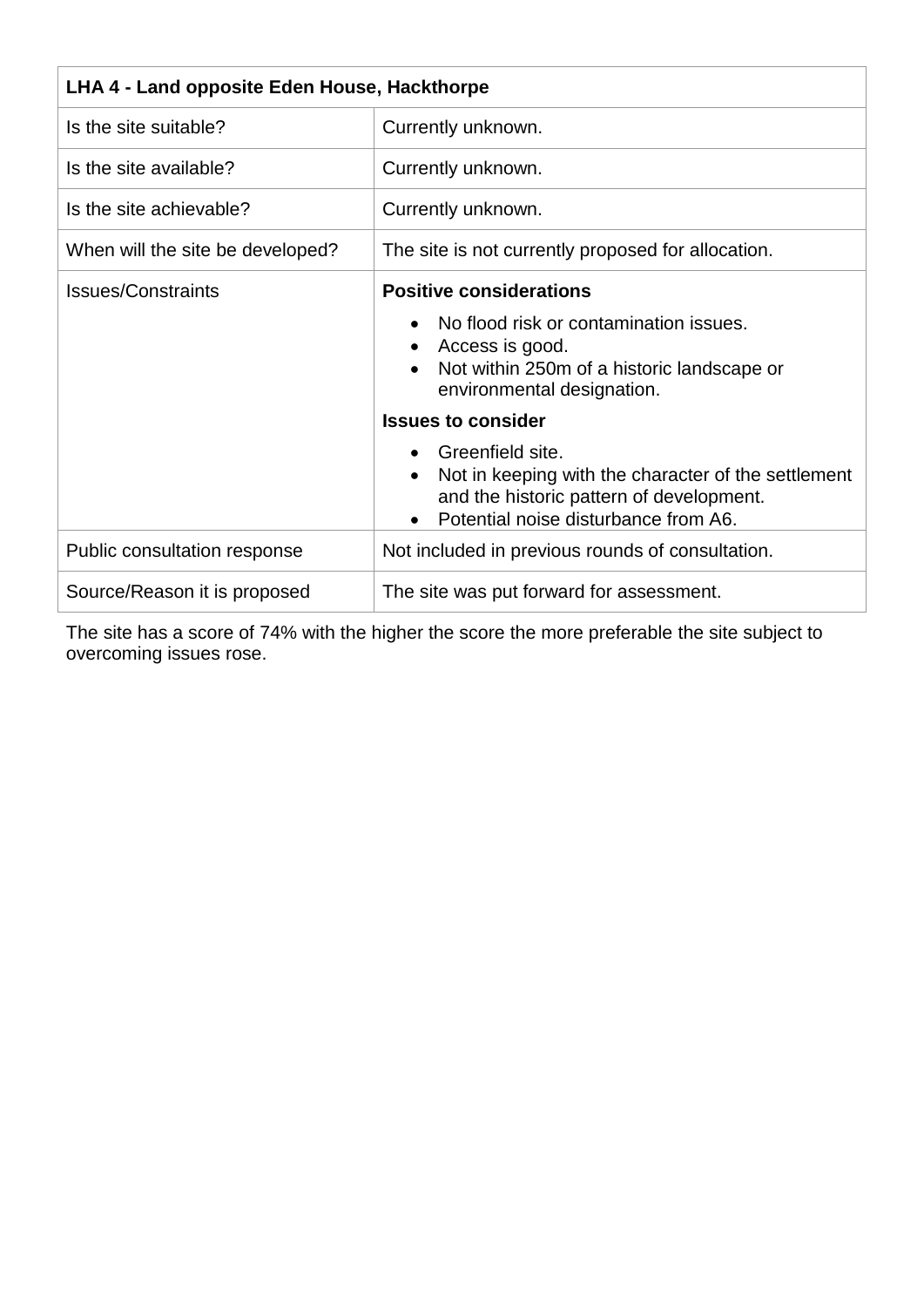| LHA 4 - Land opposite Eden House, Hackthorpe |                                                                          |  |
|----------------------------------------------|--------------------------------------------------------------------------|--|
|                                              |                                                                          |  |
| Is the site suitable?                        | Currently unknown.                                                       |  |
| Is the site available?                       | Currently unknown.                                                       |  |
| Is the site achievable?                      | Currently unknown.                                                       |  |
| When will the site be developed?             | The site is not currently proposed for allocation.                       |  |
| <b>Issues/Constraints</b>                    | <b>Positive considerations</b>                                           |  |
|                                              | No flood risk or contamination issues.                                   |  |
|                                              | Access is good.                                                          |  |
|                                              | Not within 250m of a historic landscape or<br>environmental designation. |  |
|                                              | <b>Issues to consider</b>                                                |  |
|                                              | Greenfield site.                                                         |  |
|                                              | Not in keeping with the character of the settlement                      |  |
|                                              | and the historic pattern of development.                                 |  |
|                                              | Potential noise disturbance from A6.                                     |  |
| Public consultation response                 | Not included in previous rounds of consultation.                         |  |
| Source/Reason it is proposed                 | The site was put forward for assessment.                                 |  |

The site has a score of 74% with the higher the score the more preferable the site subject to overcoming issues rose.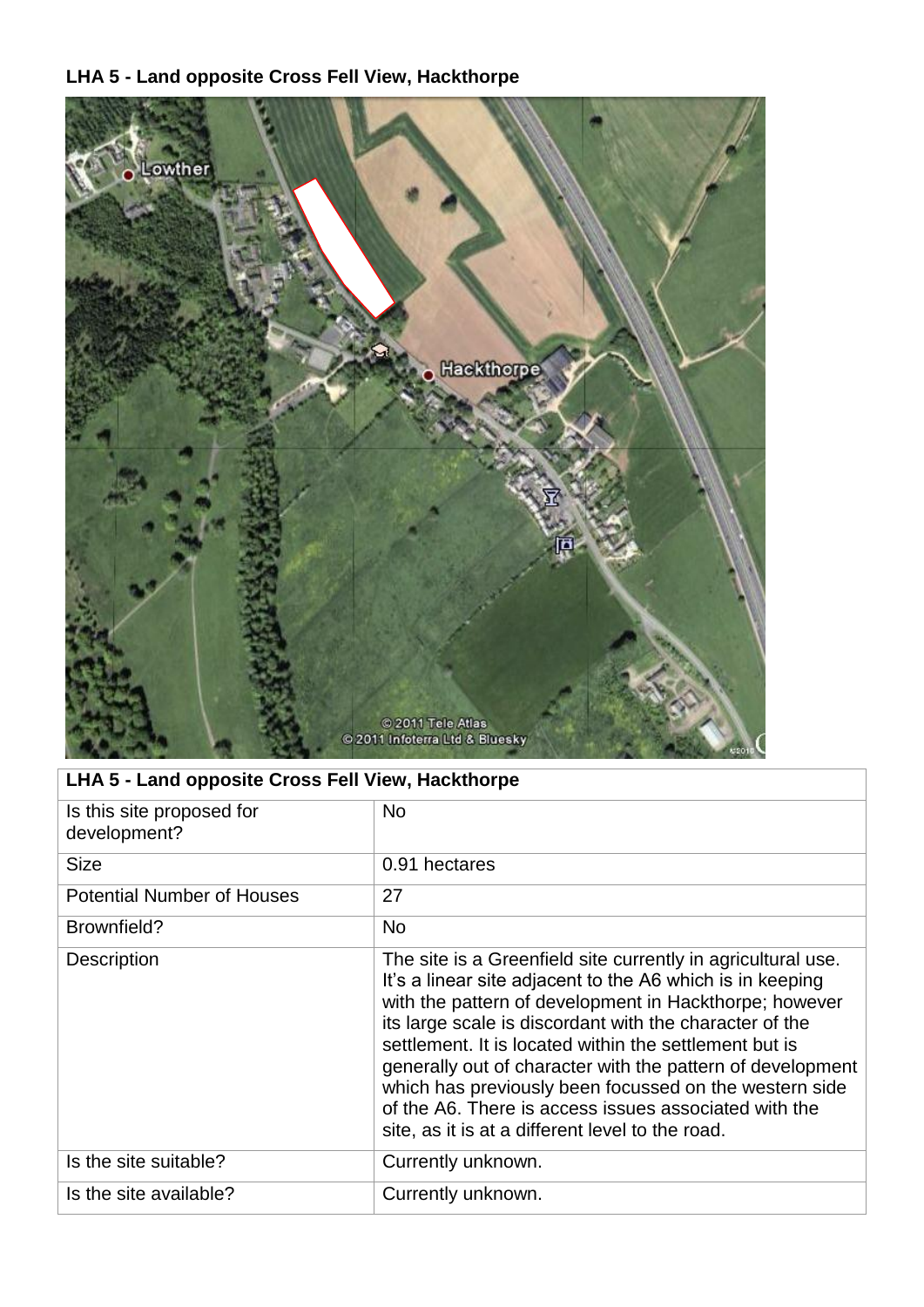#### **LHA 5 - Land opposite Cross Fell View, Hackthorpe**



# **LHA 5 - Land opposite Cross Fell View, Hackthorpe**

| Is this site proposed for<br>development? | <b>No</b>                                                                                                                                                                                                                                                                                                                                                                                                                                                                                                                                     |
|-------------------------------------------|-----------------------------------------------------------------------------------------------------------------------------------------------------------------------------------------------------------------------------------------------------------------------------------------------------------------------------------------------------------------------------------------------------------------------------------------------------------------------------------------------------------------------------------------------|
| <b>Size</b>                               | 0.91 hectares                                                                                                                                                                                                                                                                                                                                                                                                                                                                                                                                 |
| <b>Potential Number of Houses</b>         | 27                                                                                                                                                                                                                                                                                                                                                                                                                                                                                                                                            |
| Brownfield?                               | <b>No</b>                                                                                                                                                                                                                                                                                                                                                                                                                                                                                                                                     |
| <b>Description</b>                        | The site is a Greenfield site currently in agricultural use.<br>It's a linear site adjacent to the A6 which is in keeping<br>with the pattern of development in Hackthorpe; however<br>its large scale is discordant with the character of the<br>settlement. It is located within the settlement but is<br>generally out of character with the pattern of development<br>which has previously been focussed on the western side<br>of the A6. There is access issues associated with the<br>site, as it is at a different level to the road. |
| Is the site suitable?                     | Currently unknown.                                                                                                                                                                                                                                                                                                                                                                                                                                                                                                                            |
| Is the site available?                    | Currently unknown.                                                                                                                                                                                                                                                                                                                                                                                                                                                                                                                            |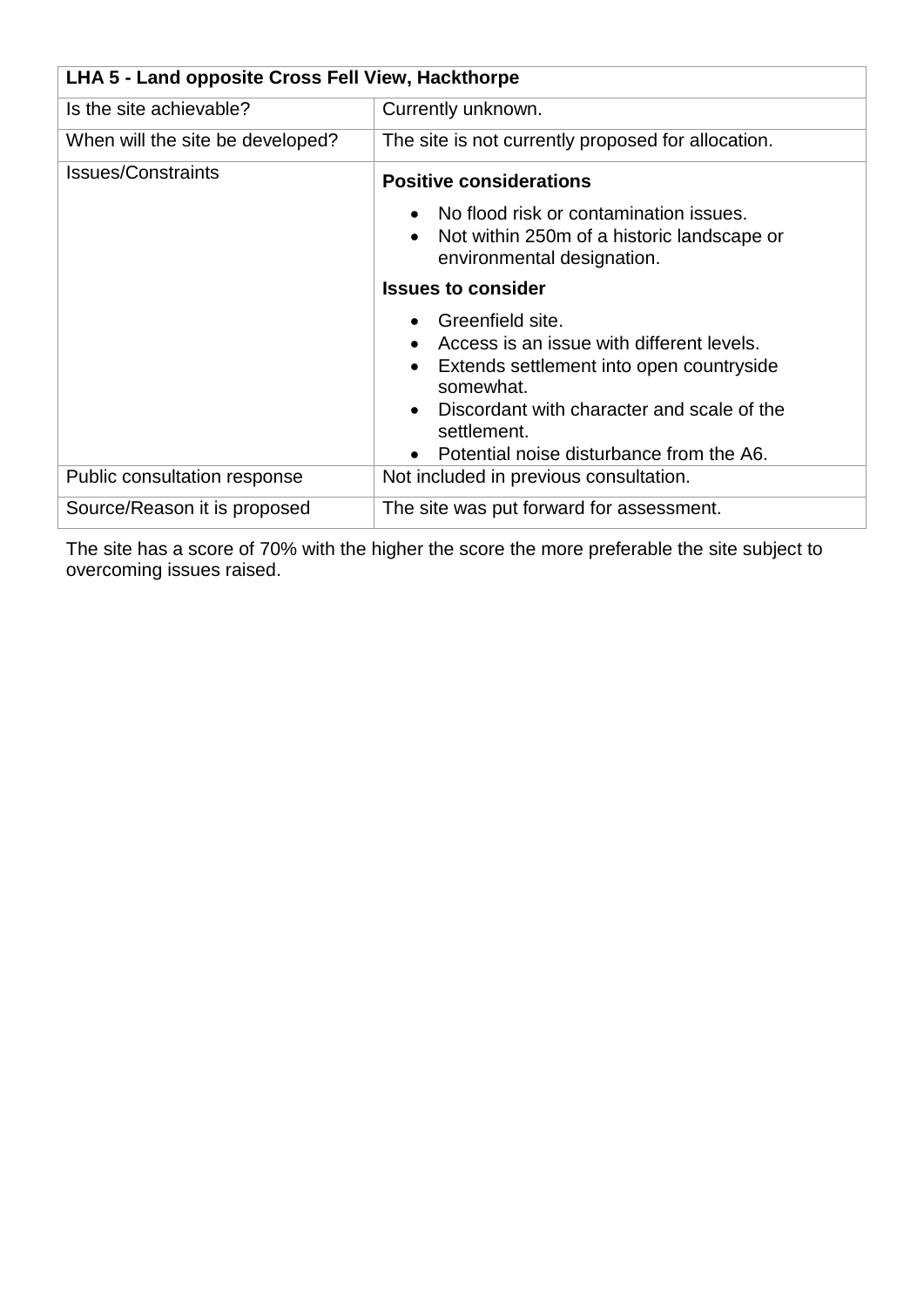| LHA 5 - Land opposite Cross Fell View, Hackthorpe |                                                                                                                                                                      |  |
|---------------------------------------------------|----------------------------------------------------------------------------------------------------------------------------------------------------------------------|--|
| Is the site achievable?                           | Currently unknown.                                                                                                                                                   |  |
| When will the site be developed?                  | The site is not currently proposed for allocation.                                                                                                                   |  |
| <b>Issues/Constraints</b>                         | <b>Positive considerations</b>                                                                                                                                       |  |
|                                                   | No flood risk or contamination issues.<br>• Not within 250m of a historic landscape or<br>environmental designation.                                                 |  |
|                                                   | <b>Issues to consider</b>                                                                                                                                            |  |
|                                                   | Greenfield site.<br>Access is an issue with different levels.<br>Extends settlement into open countryside<br>somewhat.<br>Discordant with character and scale of the |  |
|                                                   | settlement.<br>Potential noise disturbance from the A6.                                                                                                              |  |
| Public consultation response                      | Not included in previous consultation.                                                                                                                               |  |
| Source/Reason it is proposed                      | The site was put forward for assessment.                                                                                                                             |  |

The site has a score of 70% with the higher the score the more preferable the site subject to overcoming issues raised.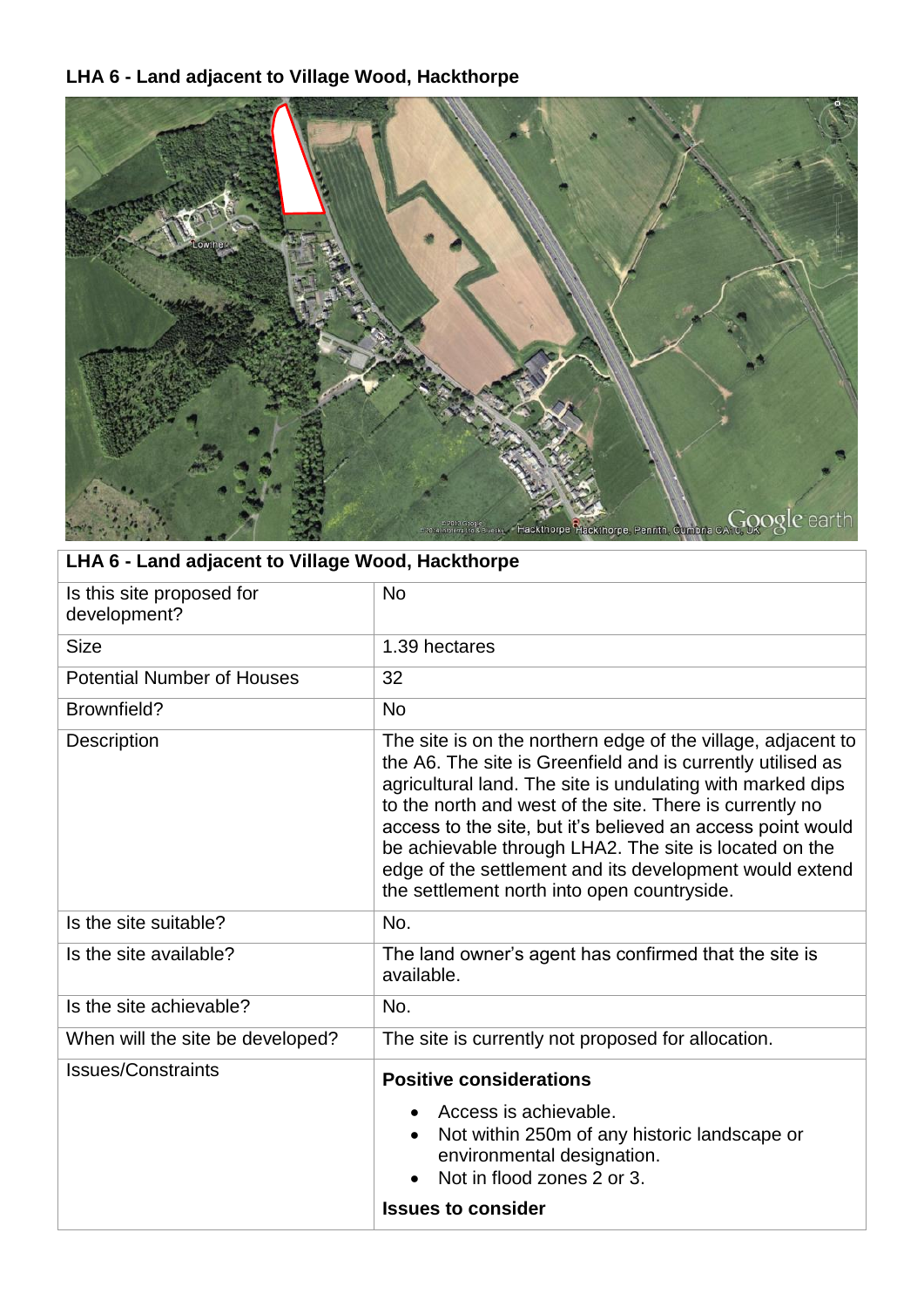# **LHA 6 - Land adjacent to Village Wood, Hackthorpe**



| LHA 6 - Land adjacent to Village Wood, Hackthorpe |                                                                                                                                                                                                                                                                                                                                                                                                                                                                                          |  |
|---------------------------------------------------|------------------------------------------------------------------------------------------------------------------------------------------------------------------------------------------------------------------------------------------------------------------------------------------------------------------------------------------------------------------------------------------------------------------------------------------------------------------------------------------|--|
| Is this site proposed for<br>development?         | <b>No</b>                                                                                                                                                                                                                                                                                                                                                                                                                                                                                |  |
| <b>Size</b>                                       | 1.39 hectares                                                                                                                                                                                                                                                                                                                                                                                                                                                                            |  |
| <b>Potential Number of Houses</b>                 | 32                                                                                                                                                                                                                                                                                                                                                                                                                                                                                       |  |
| Brownfield?                                       | <b>No</b>                                                                                                                                                                                                                                                                                                                                                                                                                                                                                |  |
| <b>Description</b>                                | The site is on the northern edge of the village, adjacent to<br>the A6. The site is Greenfield and is currently utilised as<br>agricultural land. The site is undulating with marked dips<br>to the north and west of the site. There is currently no<br>access to the site, but it's believed an access point would<br>be achievable through LHA2. The site is located on the<br>edge of the settlement and its development would extend<br>the settlement north into open countryside. |  |
| Is the site suitable?                             | No.                                                                                                                                                                                                                                                                                                                                                                                                                                                                                      |  |
| Is the site available?                            | The land owner's agent has confirmed that the site is<br>available.                                                                                                                                                                                                                                                                                                                                                                                                                      |  |
| Is the site achievable?                           | No.                                                                                                                                                                                                                                                                                                                                                                                                                                                                                      |  |
| When will the site be developed?                  | The site is currently not proposed for allocation.                                                                                                                                                                                                                                                                                                                                                                                                                                       |  |
| <b>Issues/Constraints</b>                         | <b>Positive considerations</b><br>Access is achievable.<br>Not within 250m of any historic landscape or<br>environmental designation.<br>Not in flood zones 2 or 3.                                                                                                                                                                                                                                                                                                                      |  |
|                                                   | <b>Issues to consider</b>                                                                                                                                                                                                                                                                                                                                                                                                                                                                |  |